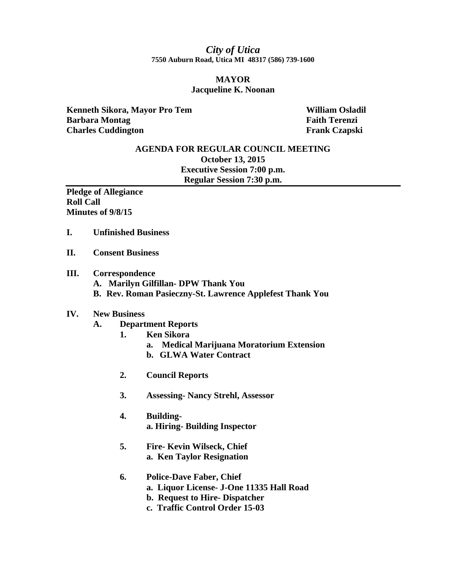## *City of Utica*  **7550 Auburn Road, Utica MI 48317 (586) 739-1600**

## **MAYOR Jacqueline K. Noonan**

**Kenneth Sikora, Mayor Pro Tem William Osladil** *William Osladil* **Barbara Montag Faith Terenzi Charles Cuddington Frank Czapski** 

## **AGENDA FOR REGULAR COUNCIL MEETING October 13, 2015 Executive Session 7:00 p.m. Regular Session 7:30 p.m.**

**Pledge of Allegiance Roll Call Minutes of 9/8/15** 

- **I. Unfinished Business**
- **II. Consent Business**
- **III. Correspondence A. Marilyn Gilfillan- DPW Thank You B. Rev. Roman Pasieczny-St. Lawrence Applefest Thank You**

## **IV. New Business**

- **A. Department Reports** 
	- **1. Ken Sikora** 
		- **a. Medical Marijuana Moratorium Extension**
		- **b. GLWA Water Contract**
	- **2. Council Reports**
	- **3. Assessing- Nancy Strehl, Assessor**
	- **4. Building a. Hiring- Building Inspector**
	- **5. Fire- Kevin Wilseck, Chief a. Ken Taylor Resignation**
	- **6. Police-Dave Faber, Chief a. Liquor License- J-One 11335 Hall Road b. Request to Hire- Dispatcher** 
		- **c. Traffic Control Order 15-03**